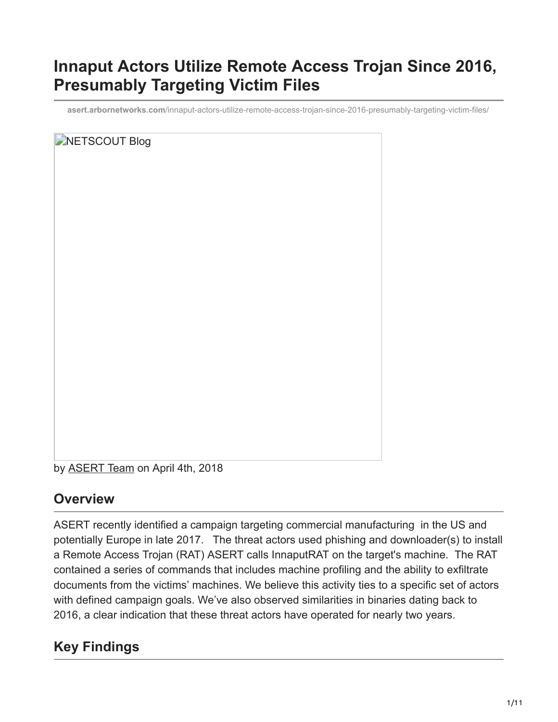# **Innaput Actors Utilize Remote Access Trojan Since 2016, Presumably Targeting Victim Files**

**asert.arbornetworks.com**[/innaput-actors-utilize-remote-access-trojan-since-2016-presumably-targeting-victim-files/](https://asert.arbornetworks.com/innaput-actors-utilize-remote-access-trojan-since-2016-presumably-targeting-victim-files/)

**NETSCOUT Blog** 

by [ASERT Team](https://www.netscout.com/blog/asert/asert-team) on April 4th, 2018

#### **Overview**

ASERT recently identified a campaign targeting commercial manufacturing in the US and potentially Europe in late 2017. The threat actors used phishing and downloader(s) to install a Remote Access Trojan (RAT) ASERT calls InnaputRAT on the target's machine. The RAT contained a series of commands that includes machine profiling and the ability to exfiltrate documents from the victims' machines. We believe this activity ties to a specific set of actors with defined campaign goals. We've also observed similarities in binaries dating back to 2016, a clear indication that these threat actors have operated for nearly two years.

### **Key Findings**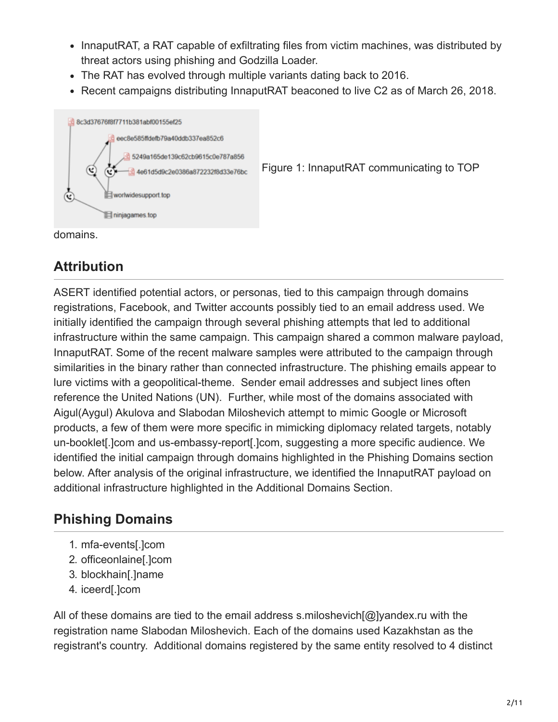- InnaputRAT, a RAT capable of exfiltrating files from victim machines, was distributed by threat actors using phishing and Godzilla Loader.
- The RAT has evolved through multiple variants dating back to 2016.
- Recent campaigns distributing InnaputRAT beaconed to live C2 as of March 26, 2018.



# **Attribution**

ASERT identified potential actors, or personas, tied to this campaign through domains registrations, Facebook, and Twitter accounts possibly tied to an email address used. We initially identified the campaign through several phishing attempts that led to additional infrastructure within the same campaign. This campaign shared a common malware payload, InnaputRAT. Some of the recent malware samples were attributed to the campaign through similarities in the binary rather than connected infrastructure. The phishing emails appear to lure victims with a geopolitical-theme. Sender email addresses and subject lines often reference the United Nations (UN). Further, while most of the domains associated with Aigul(Aygul) Akulova and Slabodan Miloshevich attempt to mimic Google or Microsoft products, a few of them were more specific in mimicking diplomacy related targets, notably un-booklet[.]com and us-embassy-report[.]com, suggesting a more specific audience. We identified the initial campaign through domains highlighted in the Phishing Domains section below. After analysis of the original infrastructure, we identified the InnaputRAT payload on additional infrastructure highlighted in the Additional Domains Section.

### **Phishing Domains**

- 1. mfa-events[.]com
- 2. officeonlaine[.]com
- 3. blockhain[.]name
- 4. iceerd[.]com

All of these domains are tied to the email address s.miloshevich[@]yandex.ru with the registration name Slabodan Miloshevich. Each of the domains used Kazakhstan as the registrant's country. Additional domains registered by the same entity resolved to 4 distinct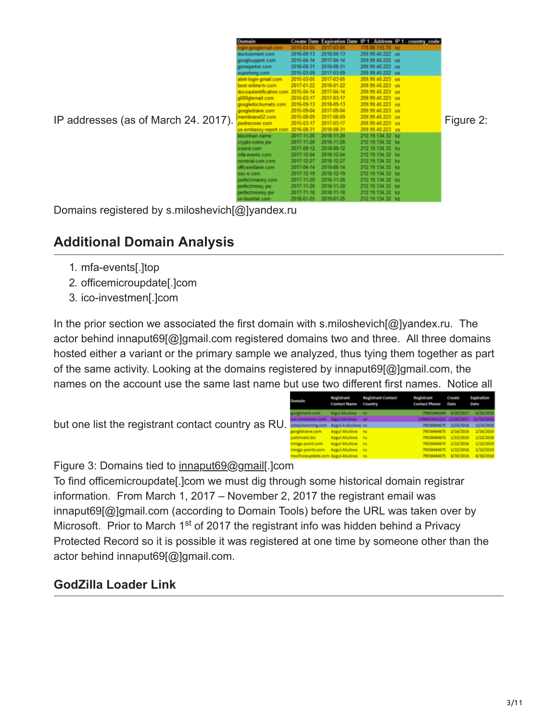|                                      | Domain                             |                        | <b>Create Date Expiration Date</b> |                  | IP 1 . Address IP 1 . country code |           |
|--------------------------------------|------------------------------------|------------------------|------------------------------------|------------------|------------------------------------|-----------|
|                                      | gin-googlemail.com                 | 2015-03-05             | 2017-03-05                         | 178.88.115.70 kz |                                    |           |
|                                      | dockooment.com                     | 2016-09-13             | 2018-09-13                         | 209.99.40.222 us |                                    |           |
|                                      | googlsupport.com                   | 2015-04-14             | 2017-04-14                         | 209.99.40.222 us |                                    |           |
|                                      | govreportst.com                    | 2016-08-31             | 2018-08-31                         | 209.99.40.222 us |                                    |           |
|                                      | suporteng.com                      | 2015-03-09             | 2017-03-09                         | 209.99.40.222 us |                                    |           |
|                                      | alert-login-gmail.com              | 2015-03-05             | 2017-03-05                         | 209.99.40.223 us |                                    |           |
|                                      | best-online-ty.com                 | 2017-01-22             | 2018-01-22                         | 209.99.40.223 us |                                    |           |
|                                      | docsautentification.com 2015-04-14 |                        | 2017-04-14                         | 209.99.40.223 us |                                    |           |
|                                      | a000glemail.com                    | 2015-03-17             | 2017-03-17                         | 209.99.40.223 us |                                    |           |
|                                      | acogledockumets.com                | 2016-09-13             | 2018-09-13                         | 209.99.40.223 us |                                    |           |
|                                      | googledraive.com                   | 2015-09-04             | 2017-09-04                         | 209.99.40.223 us |                                    |           |
| IP addresses (as of March 24. 2017). | membrana52.com                     | 2015-08-09             | 2017-08-09                         | 209.99.40.223 us |                                    | Figure 2: |
|                                      | pwdrecover.com                     | 2015-03-17             | 2017-03-17                         | 209.99.40.223 us |                                    |           |
|                                      | us-embassy-report.com 2016-08-31   |                        | 2018-08-31                         | 209.99.40.223 us |                                    |           |
|                                      | blockhain name                     | 2017-11-20             | 2018-11-20                         | 212.19.134.32 kz |                                    |           |
|                                      | crypto-coins.pw                    | 2017-11-20             | 2018-11-20                         | 212.19.134.32 kz |                                    |           |
|                                      | iceerd.com                         | 2017-09-12             | 2018-09-12                         | 212.19.134.32 kz |                                    |           |
|                                      | mfa-events.com                     | 2017-12-04             | 2018-12-04                         | 212.19.134.32 kz |                                    |           |
|                                      | nominal-coin.com                   | 2017-12-27             | 2018-12-27                         | 212.19.134.32 kz |                                    |           |
|                                      | officeonlaine.com                  | 2017-06-14             | 2018-06-14                         | 212.19.134.32 kz |                                    |           |
|                                      | osc-e.com                          | 2017-12-19             | 2018-12-19                         | 212.19.134.32 kz |                                    |           |
|                                      | perfectmaney.com                   | 2017-11-20             | 2018-11-20                         | 212.19.134.32 kz |                                    |           |
|                                      | perfectmney.pw                     | 2017-11-20             | 2018-11-20                         | 212.19.134.32 kz |                                    |           |
|                                      | serfectmoney.pw                    | 2017-11-18<br>-------- | 2018-11-18                         | 212.19.134.32 kz |                                    |           |

Domains registered by s.miloshevich[@]yandex.ru

# **Additional Domain Analysis**

- 1. mfa-events[.]top
- 2. officemicroupdate[.]com
- 3. ico-investmen[.]com

In the prior section we associated the first domain with s.miloshevich $[@]$ yandex.ru. The actor behind innaput69[@]gmail.com registered domains two and three. All three domains hosted either a variant or the primary sample we analyzed, thus tying them together as part of the same activity. Looking at the domains registered by innaput69[@]gmail.com, the names on the account use the same last name but use two different first names. Notice all

but one list the registrant contact country as RU.

| Domain                               | <b>Contact Name Country</b> | Registrant Registrant Contact - Registrant - Create Expiration | <b>Contact Phone Date</b>           | Date                            |
|--------------------------------------|-----------------------------|----------------------------------------------------------------|-------------------------------------|---------------------------------|
| googlmaile.com Aigul Akulova ru      |                             |                                                                |                                     | 79601840146 6/20/2017 6/20/2018 |
| ico-investmen.com Aigul Akulova ca   |                             |                                                                | 1796019552222 11/20/2017 11/20/2018 |                                 |
| Istep2winning.com Aygul A Akulova ru |                             |                                                                |                                     | 79038464675 12/4/2016 12/4/2018 |
| googldraive.com Aygul Akulova ru     |                             |                                                                |                                     | 79038464675 2/16/2016 2/16/2019 |
| justinvest.biz Aygul Akulova ru      |                             |                                                                |                                     | 79038464675 1/23/2016 1/22/2018 |
| mmgp-point.com Aygul Akulova ru      |                             |                                                                | 79038464675 1/22/2016 1/22/2019     |                                 |
| mmgp-points.com Aygul Akulova ru     |                             |                                                                |                                     | 79038464675 1/22/2016 1/22/2019 |
| msoficceupdate.com Aygul Akulova na  |                             |                                                                |                                     | 79038464675 8/30/2016 8/30/2018 |

Figure 3: Domains tied to [innaput69@gmail\[](http://10.10.0.46/mailto:innaput69@gmail).]com

To find officemicroupdate[.]com we must dig through some historical domain registrar information. From March 1, 2017 – November 2, 2017 the registrant email was innaput69[@]gmail.com (according to Domain Tools) before the URL was taken over by Microsoft. Prior to March 1<sup>st</sup> of 2017 the registrant info was hidden behind a Privacy Protected Record so it is possible it was registered at one time by someone other than the actor behind innaput69[@]gmail.com.

### **GodZilla Loader Link**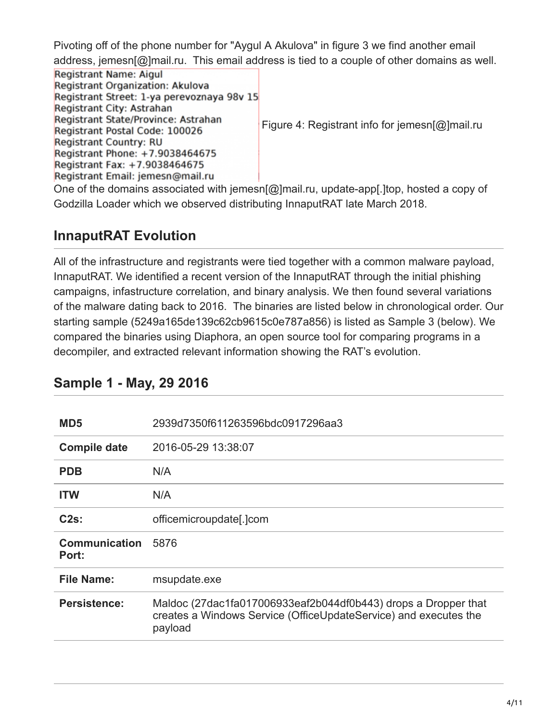Pivoting off of the phone number for "Aygul A Akulova" in figure 3 we find another email address, jemesn[@]mail.ru. This email address is tied to a couple of other domains as well.

**Registrant Name: Aigul** Registrant Organization: Akulova Registrant Street: 1-ya perevoznaya 98v 15 **Registrant City: Astrahan** Registrant State/Province: Astrahan Registrant Postal Code: 100026 **Registrant Country: RU** Registrant Phone: +7.9038464675 Registrant Fax: +7.9038464675 Registrant Email: jemesn@mail.ru

Figure 4: Registrant info for jemesn[@]mail.ru

One of the domains associated with jemesn[@]mail.ru, update-app[.]top, hosted a copy of Godzilla Loader which we observed distributing InnaputRAT late March 2018.

### **InnaputRAT Evolution**

All of the infrastructure and registrants were tied together with a common malware payload, InnaputRAT. We identified a recent version of the InnaputRAT through the initial phishing campaigns, infastructure correlation, and binary analysis. We then found several variations of the malware dating back to 2016. The binaries are listed below in chronological order. Our starting sample (5249a165de139c62cb9615c0e787a856) is listed as Sample 3 (below). We compared the binaries using Diaphora, an open source tool for comparing programs in a decompiler, and extracted relevant information showing the RAT's evolution.

| MD <sub>5</sub>               | 2939d7350f611263596bdc0917296aa3                                                                                                              |
|-------------------------------|-----------------------------------------------------------------------------------------------------------------------------------------------|
| <b>Compile date</b>           | 2016-05-29 13:38:07                                                                                                                           |
| <b>PDB</b>                    | N/A                                                                                                                                           |
| <b>ITW</b>                    | N/A                                                                                                                                           |
| $C2s$ :                       | officemicroupdate[.]com                                                                                                                       |
| <b>Communication</b><br>Port: | 5876                                                                                                                                          |
| <b>File Name:</b>             | msupdate.exe                                                                                                                                  |
| <b>Persistence:</b>           | Maldoc (27dac1fa017006933eaf2b044df0b443) drops a Dropper that<br>creates a Windows Service (OfficeUpdateService) and executes the<br>payload |

### **Sample 1 - May, 29 2016**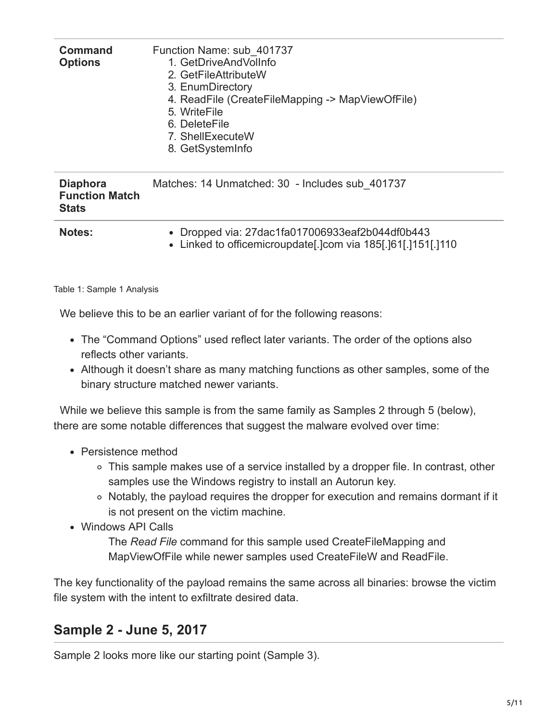| <b>Command</b><br><b>Options</b>                         | Function Name: sub 401737<br>1. GetDriveAndVolInfo<br>2. GetFileAttributeW<br>3. EnumDirectory<br>4. ReadFile (CreateFileMapping -> MapViewOfFile)<br>5. WriteFile<br>6. DeleteFile<br>7. ShellExecuteW<br>8. GetSystemInfo |
|----------------------------------------------------------|-----------------------------------------------------------------------------------------------------------------------------------------------------------------------------------------------------------------------------|
| <b>Diaphora</b><br><b>Function Match</b><br><b>Stats</b> | Matches: 14 Unmatched: 30 - Includes sub 401737                                                                                                                                                                             |

- Notes: Dropped via: 27dac1fa017006933eaf2b044df0b443
	- Linked to officemicroupdate[.]com via 185[.]61[.]151[.]110

Table 1: Sample 1 Analysis

We believe this to be an earlier variant of for the following reasons:

- The "Command Options" used reflect later variants. The order of the options also reflects other variants.
- Although it doesn't share as many matching functions as other samples, some of the binary structure matched newer variants.

 While we believe this sample is from the same family as Samples 2 through 5 (below), there are some notable differences that suggest the malware evolved over time:

- Persistence method
	- This sample makes use of a service installed by a dropper file. In contrast, other samples use the Windows registry to install an Autorun key.
	- Notably, the payload requires the dropper for execution and remains dormant if it is not present on the victim machine.
- Windows API Calls

The *Read File* command for this sample used CreateFileMapping and MapViewOfFile while newer samples used CreateFileW and ReadFile.

The key functionality of the payload remains the same across all binaries: browse the victim file system with the intent to exfiltrate desired data.

#### **Sample 2 - June 5, 2017**

Sample 2 looks more like our starting point (Sample 3).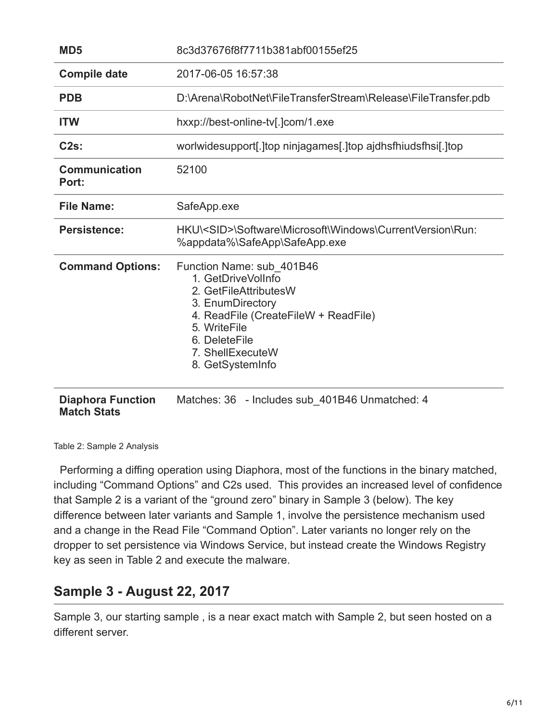| MD <sub>5</sub>               | 8c3d37676f8f7711b381abf00155ef25                                                                                                                                                                              |
|-------------------------------|---------------------------------------------------------------------------------------------------------------------------------------------------------------------------------------------------------------|
| <b>Compile date</b>           | 2017-06-05 16:57:38                                                                                                                                                                                           |
| <b>PDB</b>                    | D:\Arena\RobotNet\FileTransferStream\Release\FileTransfer.pdb                                                                                                                                                 |
| <b>ITW</b>                    | hxxp://best-online-tv[.]com/1.exe                                                                                                                                                                             |
| <b>C2s:</b>                   | worlwidesupport[.]top ninjagames[.]top ajdhsfhiudsfhsi[.]top                                                                                                                                                  |
| <b>Communication</b><br>Port: | 52100                                                                                                                                                                                                         |
| <b>File Name:</b>             | SafeApp.exe                                                                                                                                                                                                   |
| <b>Persistence:</b>           | HKU\ <sid>\Software\Microsoft\Windows\CurrentVersion\Run:<br/>%appdata%\SafeApp\SafeApp.exe</sid>                                                                                                             |
| <b>Command Options:</b>       | Function Name: sub 401B46<br>1. GetDriveVolInfo<br>2. GetFileAttributesW<br>3. EnumDirectory<br>4. ReadFile (CreateFileW + ReadFile)<br>5. WriteFile<br>6. DeleteFile<br>7. ShellExecuteW<br>8. GetSystemInfo |
| <b>Diaphora Function</b>      | - Includes sub 401B46 Unmatched: 4<br>Matches: 36                                                                                                                                                             |

**Match Stats**

Table 2: Sample 2 Analysis

 Performing a diffing operation using Diaphora, most of the functions in the binary matched, including "Command Options" and C2s used. This provides an increased level of confidence that Sample 2 is a variant of the "ground zero" binary in Sample 3 (below). The key difference between later variants and Sample 1, involve the persistence mechanism used and a change in the Read File "Command Option". Later variants no longer rely on the dropper to set persistence via Windows Service, but instead create the Windows Registry key as seen in Table 2 and execute the malware.

#### **Sample 3 - August 22, 2017**

Sample 3, our starting sample , is a near exact match with Sample 2, but seen hosted on a different server.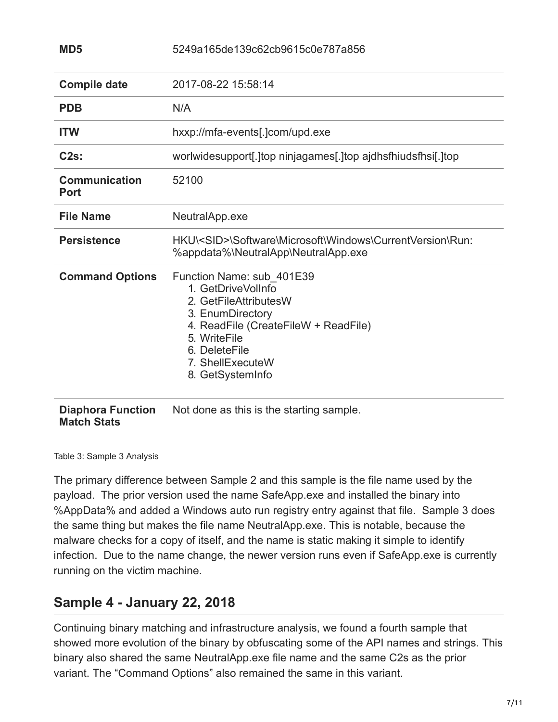#### **MD5** 5249a165de139c62cb9615c0e787a856

| <b>Compile date</b>                 | 2017-08-22 15:58:14                                                                                                                                                                                           |  |  |  |
|-------------------------------------|---------------------------------------------------------------------------------------------------------------------------------------------------------------------------------------------------------------|--|--|--|
| <b>PDB</b>                          | N/A                                                                                                                                                                                                           |  |  |  |
| <b>ITW</b>                          | hxxp://mfa-events[.]com/upd.exe                                                                                                                                                                               |  |  |  |
| $C2s$ :                             | worlwidesupport[.]top ninjagames[.]top ajdhsfhiudsfhsi[.]top                                                                                                                                                  |  |  |  |
| <b>Communication</b><br><b>Port</b> | 52100                                                                                                                                                                                                         |  |  |  |
| <b>File Name</b>                    | NeutralApp.exe                                                                                                                                                                                                |  |  |  |
| <b>Persistence</b>                  | HKU\ <sid>\Software\Microsoft\Windows\CurrentVersion\Run:<br/>%appdata%\NeutralApp\NeutralApp.exe</sid>                                                                                                       |  |  |  |
| <b>Command Options</b>              | Function Name: sub 401E39<br>1. GetDriveVolInfo<br>2. GetFileAttributesW<br>3. EnumDirectory<br>4. ReadFile (CreateFileW + ReadFile)<br>5. WriteFile<br>6. DeleteFile<br>7. ShellExecuteW<br>8. GetSystemInfo |  |  |  |
| <b>Diaphora Function</b>            | Not done as this is the starting sample.                                                                                                                                                                      |  |  |  |

**Match Stats**

Table 3: Sample 3 Analysis

The primary difference between Sample 2 and this sample is the file name used by the payload. The prior version used the name SafeApp.exe and installed the binary into %AppData% and added a Windows auto run registry entry against that file. Sample 3 does the same thing but makes the file name NeutralApp.exe. This is notable, because the malware checks for a copy of itself, and the name is static making it simple to identify infection. Due to the name change, the newer version runs even if SafeApp.exe is currently running on the victim machine.

### **Sample 4 - January 22, 2018**

Continuing binary matching and infrastructure analysis, we found a fourth sample that showed more evolution of the binary by obfuscating some of the API names and strings. This binary also shared the same NeutralApp.exe file name and the same C2s as the prior variant. The "Command Options" also remained the same in this variant.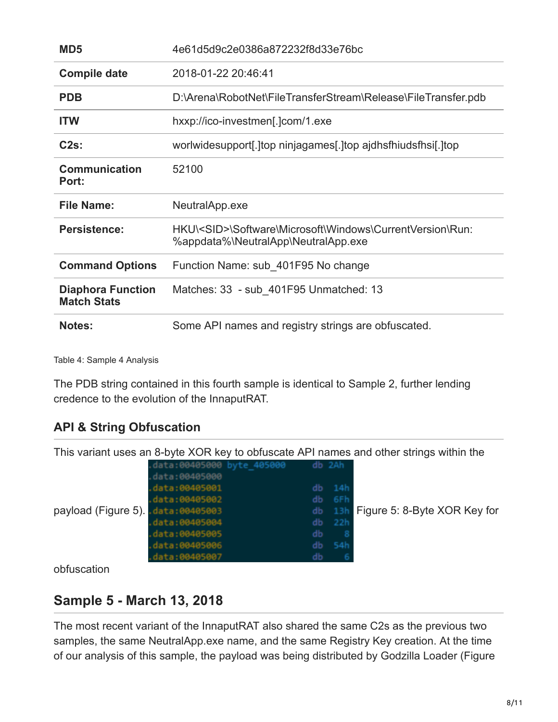| MD <sub>5</sub>                                | 4e61d5d9c2e0386a872232f8d33e76bc                                                                        |  |  |  |
|------------------------------------------------|---------------------------------------------------------------------------------------------------------|--|--|--|
| <b>Compile date</b>                            | 2018-01-22 20:46:41                                                                                     |  |  |  |
| <b>PDB</b>                                     | D:\Arena\RobotNet\FileTransferStream\Release\FileTransfer.pdb                                           |  |  |  |
| <b>ITW</b>                                     | hxxp://ico-investmen[.]com/1.exe                                                                        |  |  |  |
| $C2s$ :                                        | worlwidesupport[.]top ninjagames[.]top ajdhsfhiudsfhsi[.]top                                            |  |  |  |
| <b>Communication</b><br>Port:                  | 52100                                                                                                   |  |  |  |
| <b>File Name:</b>                              | NeutralApp.exe                                                                                          |  |  |  |
| <b>Persistence:</b>                            | HKU\ <sid>\Software\Microsoft\Windows\CurrentVersion\Run:<br/>%appdata%\NeutralApp\NeutralApp.exe</sid> |  |  |  |
| <b>Command Options</b>                         | Function Name: sub 401F95 No change                                                                     |  |  |  |
| <b>Diaphora Function</b><br><b>Match Stats</b> | Matches: 33 - sub 401F95 Unmatched: 13                                                                  |  |  |  |
| Notes:                                         |                                                                                                         |  |  |  |

Table 4: Sample 4 Analysis

The PDB string contained in this fourth sample is identical to Sample 2, further lending credence to the evolution of the InnaputRAT.

#### **API & String Obfuscation**

This variant uses an 8-byte XOR key to obfuscate API names and other strings within the

|                                    |                | .data:00405000 byte 405000   db 2Ah . |    |             |                                     |
|------------------------------------|----------------|---------------------------------------|----|-------------|-------------------------------------|
|                                    | data:00405000. |                                       |    |             |                                     |
|                                    | data:00405001. |                                       |    | $db$ 14 $h$ |                                     |
|                                    | data:00405002. |                                       |    | db 6Fh      |                                     |
| payload (Figure 5). .data:00405003 |                |                                       |    |             | db 13h Figure 5: 8-Byte XOR Key for |
|                                    | data:00405004  |                                       |    | $db$ 22 $h$ |                                     |
|                                    | data:00405005. |                                       | db |             |                                     |
|                                    | data:00405006. |                                       |    | $db$ 54 $h$ |                                     |
|                                    | data:00405007. |                                       | db |             |                                     |

obfuscation

### **Sample 5 - March 13, 2018**

The most recent variant of the InnaputRAT also shared the same C2s as the previous two samples, the same NeutralApp.exe name, and the same Registry Key creation. At the time of our analysis of this sample, the payload was being distributed by Godzilla Loader (Figure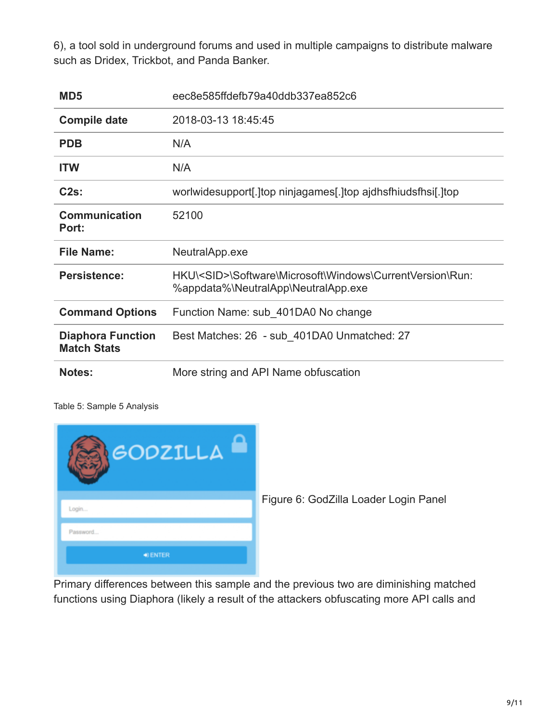6), a tool sold in underground forums and used in multiple campaigns to distribute malware such as Dridex, Trickbot, and Panda Banker.

| MD <sub>5</sub>                                | eec8e585ffdefb79a40ddb337ea852c6                                                                        |
|------------------------------------------------|---------------------------------------------------------------------------------------------------------|
| <b>Compile date</b>                            | 2018-03-13 18:45:45                                                                                     |
| <b>PDB</b>                                     | N/A                                                                                                     |
| <b>ITW</b>                                     | N/A                                                                                                     |
| $C2s$ :                                        | worlwidesupport[.]top ninjagames[.]top ajdhsfhiudsfhsi[.]top                                            |
| <b>Communication</b><br>Port:                  | 52100                                                                                                   |
| <b>File Name:</b>                              | NeutralApp.exe                                                                                          |
| <b>Persistence:</b>                            | HKU\ <sid>\Software\Microsoft\Windows\CurrentVersion\Run:<br/>%appdata%\NeutralApp\NeutralApp.exe</sid> |
| <b>Command Options</b>                         | Function Name: sub 401DA0 No change                                                                     |
| <b>Diaphora Function</b><br><b>Match Stats</b> | Best Matches: 26 - sub 401DA0 Unmatched: 27                                                             |
| <b>Notes:</b>                                  | More string and API Name obfuscation                                                                    |

Table 5: Sample 5 Analysis



Primary differences between this sample and the previous two are diminishing matched functions using Diaphora (likely a result of the attackers obfuscating more API calls and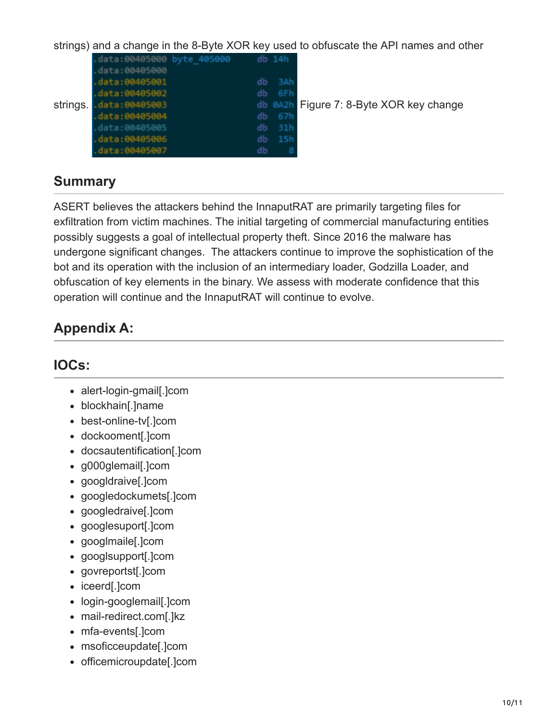strings) and a change in the 8-Byte XOR key used to obfuscate the API names and other

|          | data:00405000 byte 405000. |    | db 14h      |                                 |
|----------|----------------------------|----|-------------|---------------------------------|
|          | data:00405000.             |    |             |                                 |
|          | data:00405001.             |    | db 3Ah      |                                 |
|          | data:00405002.             |    | db 6Fh      |                                 |
| strings. | .data:00405003             |    | db 0A2h     | Figure 7: 8-Byte XOR key change |
|          | data:00405004              |    | db 67h      |                                 |
|          | data:00405005              |    | $db$ 31 $h$ |                                 |
|          | data:00405006.             |    | db 15h      |                                 |
|          | data:00405007              | db |             |                                 |

### **Summary**

ASERT believes the attackers behind the InnaputRAT are primarily targeting files for exfiltration from victim machines. The initial targeting of commercial manufacturing entities possibly suggests a goal of intellectual property theft. Since 2016 the malware has undergone significant changes. The attackers continue to improve the sophistication of the bot and its operation with the inclusion of an intermediary loader, Godzilla Loader, and obfuscation of key elements in the binary. We assess with moderate confidence that this operation will continue and the InnaputRAT will continue to evolve.

### **Appendix A:**

## **IOCs:**

- alert-login-gmail[.]com
- blockhain[.]name
- best-online-tv[.]com
- dockooment[.]com
- docsautentification[.]com
- g000glemail[.]com
- googldraive[.]com
- googledockumets[.]com
- googledraive[.]com
- googlesuport[.]com
- googlmaile[.]com
- googlsupport[.]com
- govreportst[.]com
- iceerd[.]com
- login-googlemail[.]com
- mail-redirect.com[.]kz
- mfa-events[.]com
- msoficceupdate[.]com
- officemicroupdate[.]com